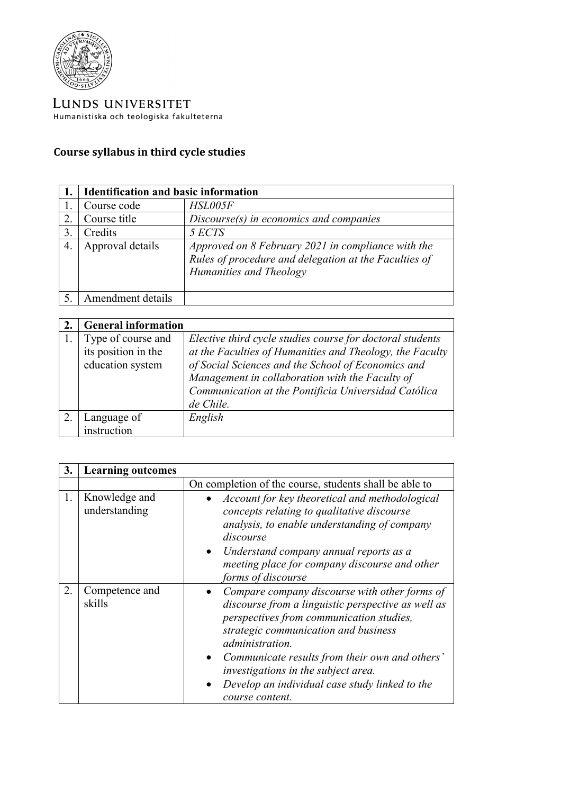

LUNDS UNIVERSITET Humanistiska och teologiska fakulteterna

## **Course syllabus in third cycle studies**

|                | <b>Identification and basic information</b> |                                                                                                                                        |
|----------------|---------------------------------------------|----------------------------------------------------------------------------------------------------------------------------------------|
|                | Course code                                 | HSL005F                                                                                                                                |
| 2.             | Course title                                | $Discourse(s)$ in economics and companies                                                                                              |
| $\mathfrak{Z}$ | Credits                                     | 5 ECTS                                                                                                                                 |
| 4.             | Approval details                            | Approved on 8 February 2021 in compliance with the<br>Rules of procedure and delegation at the Faculties of<br>Humanities and Theology |
|                | Amendment details                           |                                                                                                                                        |

| <b>General information</b> |                                                           |
|----------------------------|-----------------------------------------------------------|
| Type of course and         | Elective third cycle studies course for doctoral students |
| its position in the        | at the Faculties of Humanities and Theology, the Faculty  |
| education system           | of Social Sciences and the School of Economics and        |
|                            | Management in collaboration with the Faculty of           |
|                            | Communication at the Pontificia Universidad Católica      |
|                            | de Chile.                                                 |
| Language of                | English                                                   |
| instruction                |                                                           |

| 3. | <b>Learning outcomes</b>       |                                                                                                                                                                                                                                                                                                                                                                                              |
|----|--------------------------------|----------------------------------------------------------------------------------------------------------------------------------------------------------------------------------------------------------------------------------------------------------------------------------------------------------------------------------------------------------------------------------------------|
|    |                                | On completion of the course, students shall be able to                                                                                                                                                                                                                                                                                                                                       |
| 1. | Knowledge and<br>understanding | Account for key theoretical and methodological<br>concepts relating to qualitative discourse<br>analysis, to enable understanding of company<br>discourse<br>Understand company annual reports as a<br>$\bullet$<br>meeting place for company discourse and other<br>forms of discourse                                                                                                      |
| 2. | Competence and<br>skills       | Compare company discourse with other forms of<br>discourse from a linguistic perspective as well as<br>perspectives from communication studies,<br>strategic communication and business<br><i>administration.</i><br>Communicate results from their own and others'<br>$\bullet$<br>investigations in the subject area.<br>Develop an individual case study linked to the<br>course content. |